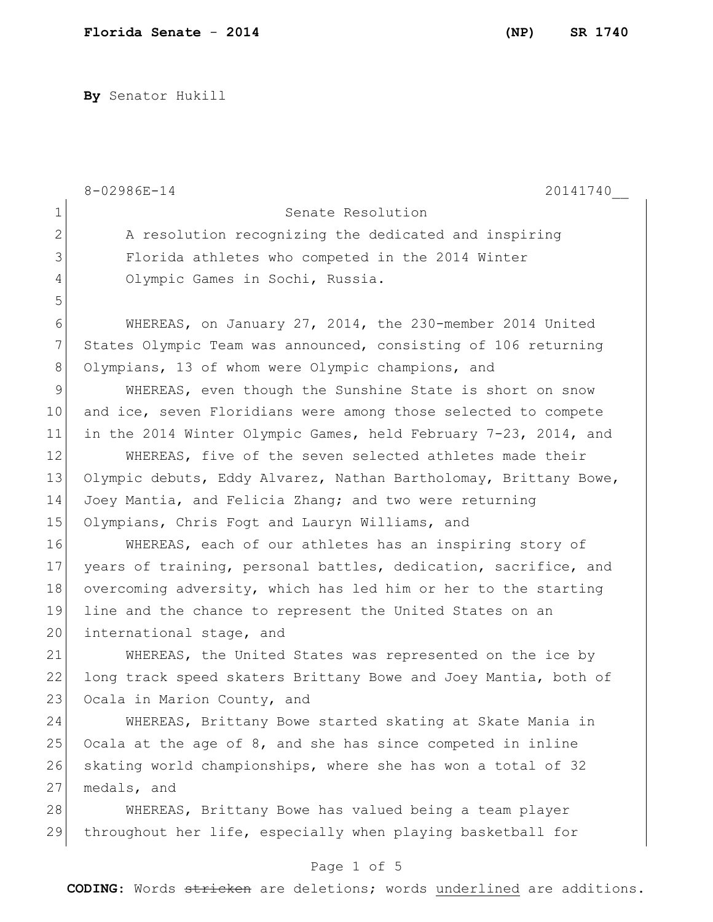**By** Senator Hukill

|                                                                              | 8-02986E-14<br>20141740                                          |
|------------------------------------------------------------------------------|------------------------------------------------------------------|
| 1                                                                            | Senate Resolution                                                |
| $\overline{2}$                                                               | A resolution recognizing the dedicated and inspiring             |
| 3                                                                            | Florida athletes who competed in the 2014 Winter                 |
| 4                                                                            | Olympic Games in Sochi, Russia.                                  |
| 5                                                                            |                                                                  |
| 6                                                                            | WHEREAS, on January 27, 2014, the 230-member 2014 United         |
| 7                                                                            | States Olympic Team was announced, consisting of 106 returning   |
| 8                                                                            | Olympians, 13 of whom were Olympic champions, and                |
| 9                                                                            | WHEREAS, even though the Sunshine State is short on snow         |
| 10                                                                           | and ice, seven Floridians were among those selected to compete   |
| 11                                                                           | in the 2014 Winter Olympic Games, held February 7-23, 2014, and  |
| 12                                                                           | WHEREAS, five of the seven selected athletes made their          |
| 13                                                                           | Olympic debuts, Eddy Alvarez, Nathan Bartholomay, Brittany Bowe, |
| 14                                                                           | Joey Mantia, and Felicia Zhang; and two were returning           |
| 15                                                                           | Olympians, Chris Fogt and Lauryn Williams, and                   |
| 16                                                                           | WHEREAS, each of our athletes has an inspiring story of          |
| 17                                                                           | years of training, personal battles, dedication, sacrifice, and  |
| 18                                                                           | overcoming adversity, which has led him or her to the starting   |
| 19                                                                           | line and the chance to represent the United States on an         |
| 20                                                                           | international stage, and                                         |
| 21                                                                           | WHEREAS, the United States was represented on the ice by         |
| 22                                                                           | long track speed skaters Brittany Bowe and Joey Mantia, both of  |
| 23                                                                           | Ocala in Marion County, and                                      |
| 24                                                                           | WHEREAS, Brittany Bowe started skating at Skate Mania in         |
| 25                                                                           | Ocala at the age of 8, and she has since competed in inline      |
| 26                                                                           | skating world championships, where she has won a total of 32     |
| 27                                                                           | medals, and                                                      |
| 28                                                                           | WHEREAS, Brittany Bowe has valued being a team player            |
| 29                                                                           | throughout her life, especially when playing basketball for      |
|                                                                              | Page 1 of 5                                                      |
| <b>CODING:</b> Words stricken are deletions; words underlined are additions. |                                                                  |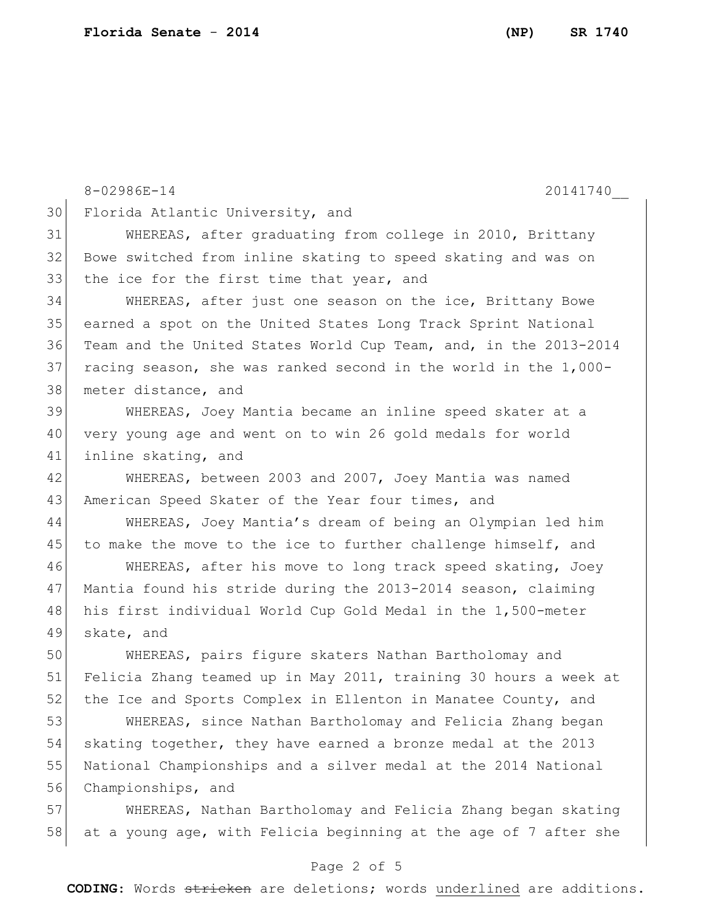8-02986E-14 20141740 Florida Atlantic University, and WHEREAS, after graduating from college in 2010, Brittany Bowe switched from inline skating to speed skating and was on 33 the ice for the first time that year, and WHEREAS, after just one season on the ice, Brittany Bowe earned a spot on the United States Long Track Sprint National

 Team and the United States World Cup Team, and, in the 2013-2014 racing season, she was ranked second in the world in the 1,000- 38 meter distance, and

 WHEREAS, Joey Mantia became an inline speed skater at a very young age and went on to win 26 gold medals for world inline skating, and

42 WHEREAS, between 2003 and 2007, Joey Mantia was named 43 American Speed Skater of the Year four times, and

 WHEREAS, Joey Mantia's dream of being an Olympian led him 45 to make the move to the ice to further challenge himself, and

 WHEREAS, after his move to long track speed skating, Joey Mantia found his stride during the 2013-2014 season, claiming his first individual World Cup Gold Medal in the 1,500-meter skate, and

 WHEREAS, pairs figure skaters Nathan Bartholomay and Felicia Zhang teamed up in May 2011, training 30 hours a week at 52 the Ice and Sports Complex in Ellenton in Manatee County, and

 WHEREAS, since Nathan Bartholomay and Felicia Zhang began 54 skating together, they have earned a bronze medal at the 2013 National Championships and a silver medal at the 2014 National Championships, and

57 WHEREAS, Nathan Bartholomay and Felicia Zhang began skating 58 at a young age, with Felicia beginning at the age of 7 after she

## Page 2 of 5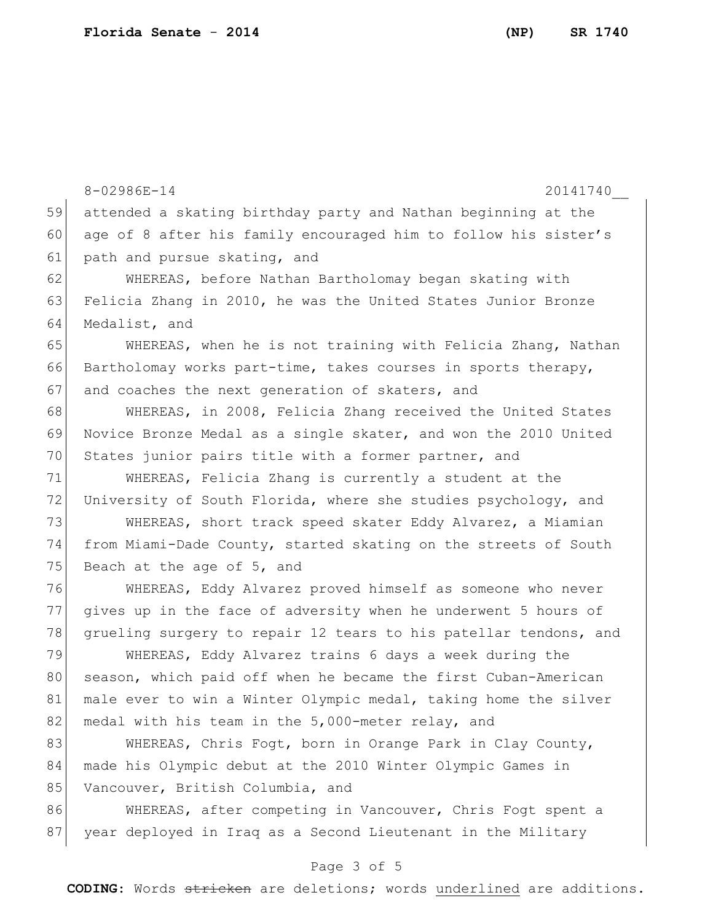8-02986E-14 20141740 59 attended a skating birthday party and Nathan beginning at the 60 age of 8 after his family encouraged him to follow his sister's 61 path and pursue skating, and 62 WHEREAS, before Nathan Bartholomay began skating with 63 Felicia Zhang in 2010, he was the United States Junior Bronze 64 Medalist, and 65 WHEREAS, when he is not training with Felicia Zhang, Nathan 66 Bartholomay works part-time, takes courses in sports therapy, 67 and coaches the next generation of skaters, and 68 WHEREAS, in 2008, Felicia Zhang received the United States 69 Novice Bronze Medal as a single skater, and won the 2010 United 70 States junior pairs title with a former partner, and 71 WHEREAS, Felicia Zhang is currently a student at the 72 University of South Florida, where she studies psychology, and 73 WHEREAS, short track speed skater Eddy Alvarez, a Miamian 74 from Miami-Dade County, started skating on the streets of South 75 Beach at the age of 5, and 76 WHEREAS, Eddy Alvarez proved himself as someone who never 77 gives up in the face of adversity when he underwent 5 hours of 78 grueling surgery to repair 12 tears to his patellar tendons, and 79 WHEREAS, Eddy Alvarez trains 6 days a week during the 80 season, which paid off when he became the first Cuban-American 81 male ever to win a Winter Olympic medal, taking home the silver 82 medal with his team in the 5,000-meter relay, and 83 WHEREAS, Chris Fogt, born in Orange Park in Clay County, 84 made his Olympic debut at the 2010 Winter Olympic Games in 85 Vancouver, British Columbia, and 86 WHEREAS, after competing in Vancouver, Chris Fogt spent a 87 year deployed in Iraq as a Second Lieutenant in the Military

## Page 3 of 5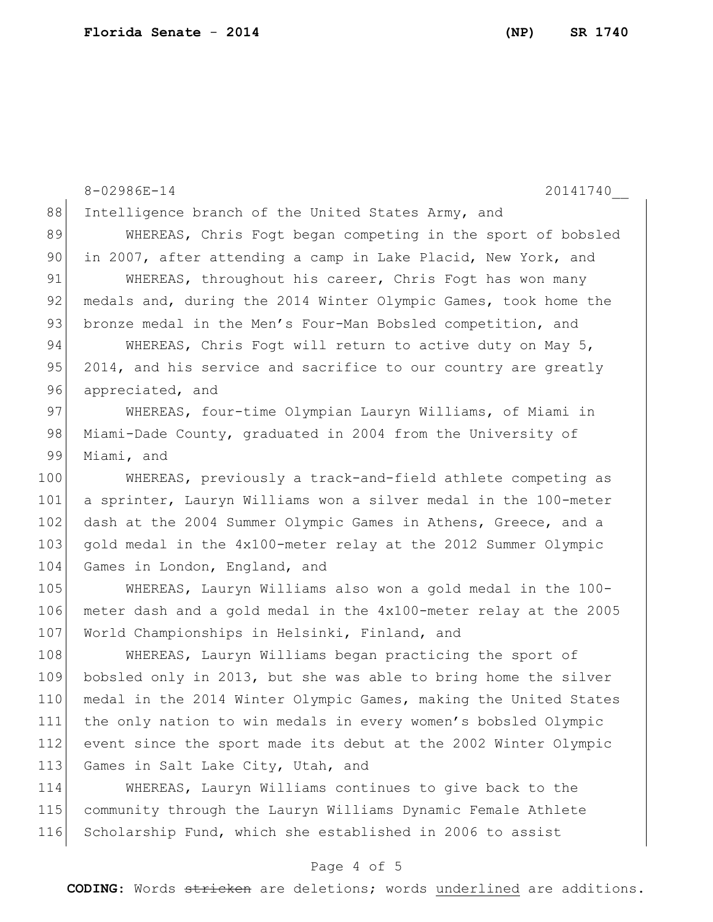8-02986E-14 20141740 88 Intelligence branch of the United States Army, and 89 WHEREAS, Chris Fogt began competing in the sport of bobsled 90 in 2007, after attending a camp in Lake Placid, New York, and 91 WHEREAS, throughout his career, Chris Fogt has won many 92 medals and, during the 2014 Winter Olympic Games, took home the 93 bronze medal in the Men's Four-Man Bobsled competition, and 94 WHEREAS, Chris Fogt will return to active duty on May 5, 95  $2014$ , and his service and sacrifice to our country are greatly 96 appreciated, and 97 WHEREAS, four-time Olympian Lauryn Williams, of Miami in 98 Miami-Dade County, graduated in 2004 from the University of 99 Miami, and 100 WHEREAS, previously a track-and-field athlete competing as 101 a sprinter, Lauryn Williams won a silver medal in the 100-meter 102 dash at the 2004 Summer Olympic Games in Athens, Greece, and a 103 gold medal in the 4x100-meter relay at the 2012 Summer Olympic 104 Games in London, England, and 105 WHEREAS, Lauryn Williams also won a gold medal in the 100- 106 meter dash and a gold medal in the 4x100-meter relay at the 2005 107 World Championships in Helsinki, Finland, and 108 WHEREAS, Lauryn Williams began practicing the sport of 109 bobsled only in 2013, but she was able to bring home the silver 110 medal in the 2014 Winter Olympic Games, making the United States 111 the only nation to win medals in every women's bobsled Olympic 112 event since the sport made its debut at the 2002 Winter Olympic 113 Games in Salt Lake City, Utah, and 114 WHEREAS, Lauryn Williams continues to give back to the

115 community through the Lauryn Williams Dynamic Female Athlete 116 Scholarship Fund, which she established in 2006 to assist

## Page 4 of 5